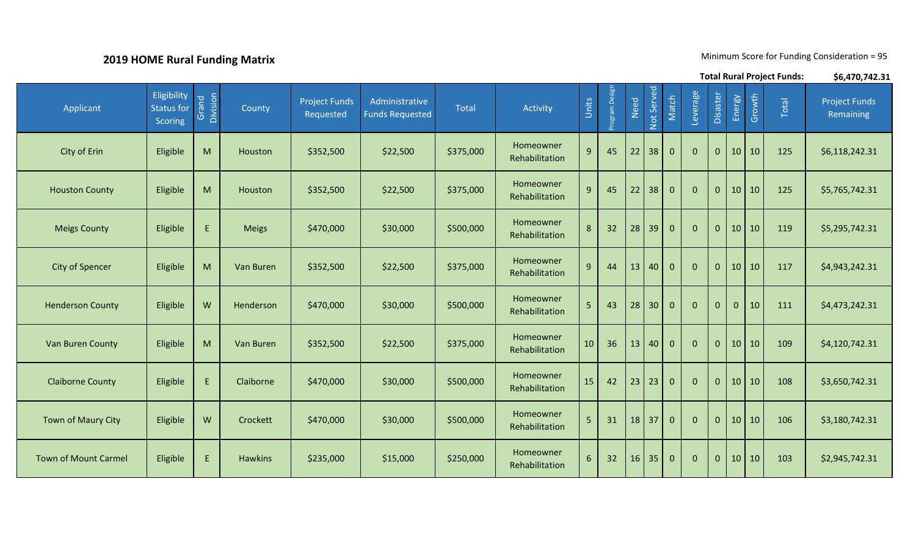## **2019 HOME Rural Funding Matrix**

Minimum Score for Funding Consideration = 95

|                             |                                             |                   |                |                                   |                                          |           |                             |                |              |      |                 |              |              |              |                 |        | <b>Total Rural Project Funds:</b> | \$6,470,742.31                    |
|-----------------------------|---------------------------------------------|-------------------|----------------|-----------------------------------|------------------------------------------|-----------|-----------------------------|----------------|--------------|------|-----------------|--------------|--------------|--------------|-----------------|--------|-----------------------------------|-----------------------------------|
| Applicant                   | Eligibility<br>Status for<br><b>Scoring</b> | Grand<br>Division | County         | <b>Project Funds</b><br>Requested | Administrative<br><b>Funds Requested</b> | Total     | Activity                    | Units          | ogram Design | Need | Not Served      | Match        | Leverage     | Disaster     | Energy          | Growth | Total                             | <b>Project Funds</b><br>Remaining |
| City of Erin                | Eligible                                    | M                 | Houston        | \$352,500                         | \$22,500                                 | \$375,000 | Homeowner<br>Rehabilitation | $9\,$          | 45           | 22   | 38              | $\mathbf 0$  | $\mathbf{0}$ | $\mathbf{0}$ | 10              | 10     | 125                               | \$6,118,242.31                    |
| <b>Houston County</b>       | Eligible                                    | M                 | Houston        | \$352,500                         | \$22,500                                 | \$375,000 | Homeowner<br>Rehabilitation | 9              | 45           | 22   | 38              | $\mathbf 0$  | $\mathbf{0}$ | $\mathbf{0}$ | 10 <sup>°</sup> | 10     | 125                               | \$5,765,742.31                    |
| <b>Meigs County</b>         | Eligible                                    | E.                | <b>Meigs</b>   | \$470,000                         | \$30,000                                 | \$500,000 | Homeowner<br>Rehabilitation | 8              | 32           | 28   | 39              | $\mathbf 0$  | $\mathbf{0}$ | $\mathbf{0}$ | 10 <sup>°</sup> | 10     | 119                               | \$5,295,742.31                    |
| <b>City of Spencer</b>      | Eligible                                    | M                 | Van Buren      | \$352,500                         | \$22,500                                 | \$375,000 | Homeowner<br>Rehabilitation | 9              | 44           | 13   | 40              | $\mathbf 0$  | $\mathbf{0}$ | $\mathbf{0}$ | 10              | 10     | 117                               | \$4,943,242.31                    |
| <b>Henderson County</b>     | Eligible                                    | W                 | Henderson      | \$470,000                         | \$30,000                                 | \$500,000 | Homeowner<br>Rehabilitation | 5 <sup>1</sup> | 43           | 28   | 30 <sup>°</sup> | $\mathbf 0$  | $\mathbf{0}$ | $\mathbf{0}$ | $\mathbf{0}$    | 10     | 111                               | \$4,473,242.31                    |
| Van Buren County            | Eligible                                    | M                 | Van Buren      | \$352,500                         | \$22,500                                 | \$375,000 | Homeowner<br>Rehabilitation | 10             | 36           | 13   | 40              | $\mathbf 0$  | $\mathbf{0}$ | $\mathbf{0}$ | 10              | 10     | 109                               | \$4,120,742.31                    |
| <b>Claiborne County</b>     | Eligible                                    | E                 | Claiborne      | \$470,000                         | \$30,000                                 | \$500,000 | Homeowner<br>Rehabilitation | 15             | 42           | 23   | 23              | $\mathbf{0}$ | $\mathbf{0}$ | $\mathbf{0}$ | 10 <sup>1</sup> | 10     | 108                               | \$3,650,742.31                    |
| <b>Town of Maury City</b>   | Eligible                                    | W                 | Crockett       | \$470,000                         | \$30,000                                 | \$500,000 | Homeowner<br>Rehabilitation | 5              | 31           |      | $18$ 37         | $\mathbf 0$  | $\mathbf{0}$ | $\mathbf{0}$ | 10 <sup>1</sup> | 10     | 106                               | \$3,180,742.31                    |
| <b>Town of Mount Carmel</b> | Eligible                                    | E.                | <b>Hawkins</b> | \$235,000                         | \$15,000                                 | \$250,000 | Homeowner<br>Rehabilitation | 6              | 32           | 16   | 35              | $\mathbf 0$  | $\mathbf{0}$ | $\mathbf 0$  | 10 <sup>1</sup> | 10     | 103                               | \$2,945,742.31                    |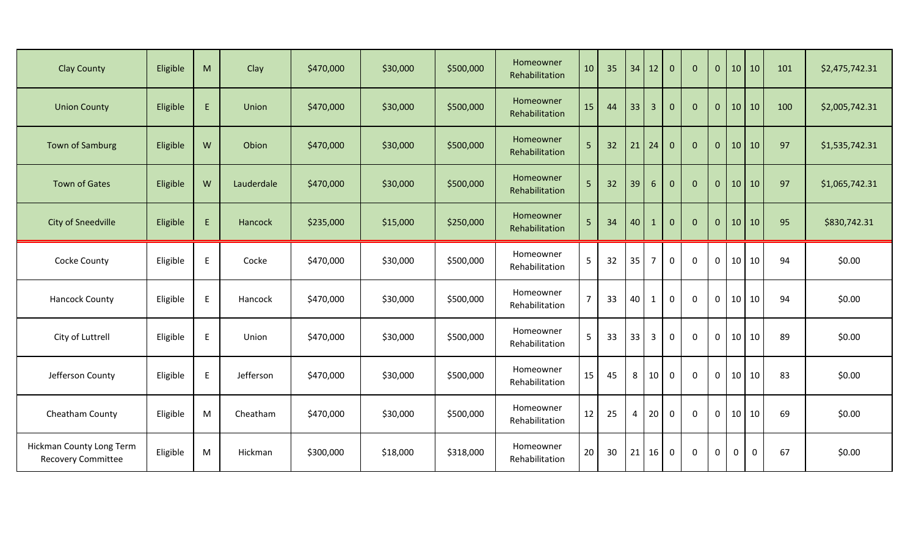| <b>Clay County</b>                                    | Eligible | M         | Clay       | \$470,000 | \$30,000 | \$500,000 | Homeowner<br>Rehabilitation | 10             | 35              |    | $34$ 12        | $\mathbf{0}$ | $\mathbf{0}$ | $\mathbf{0}$ | 10          | 10        | 101 | \$2,475,742.31 |
|-------------------------------------------------------|----------|-----------|------------|-----------|----------|-----------|-----------------------------|----------------|-----------------|----|----------------|--------------|--------------|--------------|-------------|-----------|-----|----------------|
| <b>Union County</b>                                   | Eligible | E.        | Union      | \$470,000 | \$30,000 | \$500,000 | Homeowner<br>Rehabilitation | 15             | 44              | 33 | $\overline{3}$ | $\mathbf{0}$ | $\mathbf{0}$ | $\mathbf{0}$ | 10 10       |           | 100 | \$2,005,742.31 |
| Town of Samburg                                       | Eligible | ${\sf W}$ | Obion      | \$470,000 | \$30,000 | \$500,000 | Homeowner<br>Rehabilitation | 5              | 32              | 21 | 24             | $\mathbf{0}$ | $\mathbf{0}$ | $\mathbf{0}$ | 10          | 10        | 97  | \$1,535,742.31 |
| <b>Town of Gates</b>                                  | Eligible | W         | Lauderdale | \$470,000 | \$30,000 | \$500,000 | Homeowner<br>Rehabilitation | 5              | 32              | 39 | $6\phantom{1}$ | $\mathbf{0}$ | $\mathbf{0}$ | $\mathbf{0}$ | 10          | 10        | 97  | \$1,065,742.31 |
| <b>City of Sneedville</b>                             | Eligible | E         | Hancock    | \$235,000 | \$15,000 | \$250,000 | Homeowner<br>Rehabilitation | 5              | 34              | 40 | $\mathbf{1}$   | $\mathbf{0}$ | $\Omega$     | $\mathbf{0}$ |             | 10 10     | 95  | \$830,742.31   |
| Cocke County                                          | Eligible | E         | Cocke      | \$470,000 | \$30,000 | \$500,000 | Homeowner<br>Rehabilitation | 5              | 32              | 35 | $\overline{7}$ | $\mathbf 0$  | 0            | $\mathbf 0$  | 10          | 10        | 94  | \$0.00         |
| <b>Hancock County</b>                                 | Eligible | E.        | Hancock    | \$470,000 | \$30,000 | \$500,000 | Homeowner<br>Rehabilitation | $\overline{7}$ | 33              | 40 | $\mathbf{1}$   | $\mathbf 0$  | 0            | 0            | 10          | 10        | 94  | \$0.00         |
| City of Luttrell                                      | Eligible | E         | Union      | \$470,000 | \$30,000 | \$500,000 | Homeowner<br>Rehabilitation | 5              | 33              | 33 | $\overline{3}$ | $\mathbf 0$  | 0            | 0            | $10\,$      | 10        | 89  | \$0.00         |
| Jefferson County                                      | Eligible | E         | Jefferson  | \$470,000 | \$30,000 | \$500,000 | Homeowner<br>Rehabilitation | 15             | 45              | 8  | 10             | $\mathbf 0$  | $\mathbf{0}$ | 0            | 10          | 10        | 83  | \$0.00         |
| Cheatham County                                       | Eligible | M         | Cheatham   | \$470,000 | \$30,000 | \$500,000 | Homeowner<br>Rehabilitation | 12             | 25              | 4  | 20             | $\mathbf{0}$ | $\Omega$     | $\Omega$     | 10          | 10        | 69  | \$0.00         |
| Hickman County Long Term<br><b>Recovery Committee</b> | Eligible | M         | Hickman    | \$300,000 | \$18,000 | \$318,000 | Homeowner<br>Rehabilitation | 20             | 30 <sup>°</sup> |    | $21$   16      | $\mathbf 0$  | $\mathbf 0$  | $\mathbf 0$  | $\mathbf 0$ | $\pmb{0}$ | 67  | \$0.00         |